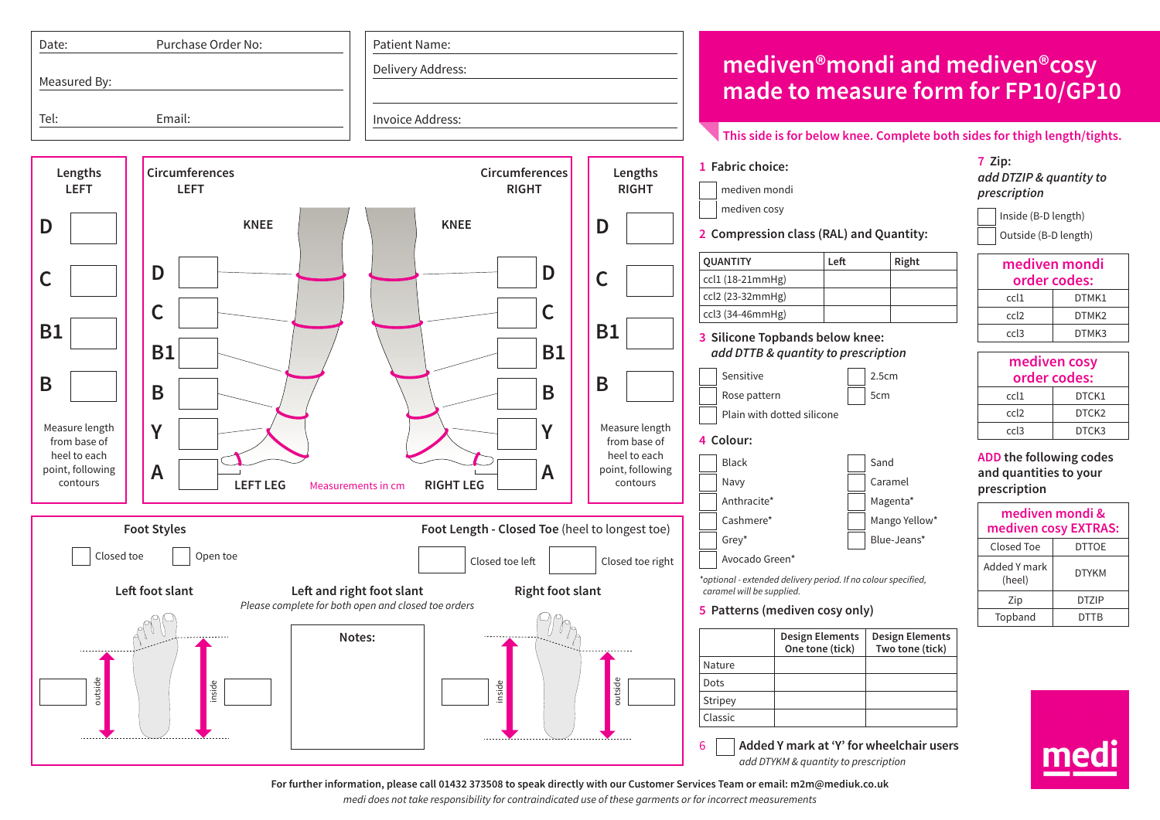

**For further information, please call 01432 373508 to speak directly with our Customer Services Team or email: m2m@mediuk.co.uk**

*medi does not take responsibility for contraindicated use of these garments or for incorrect measurements*